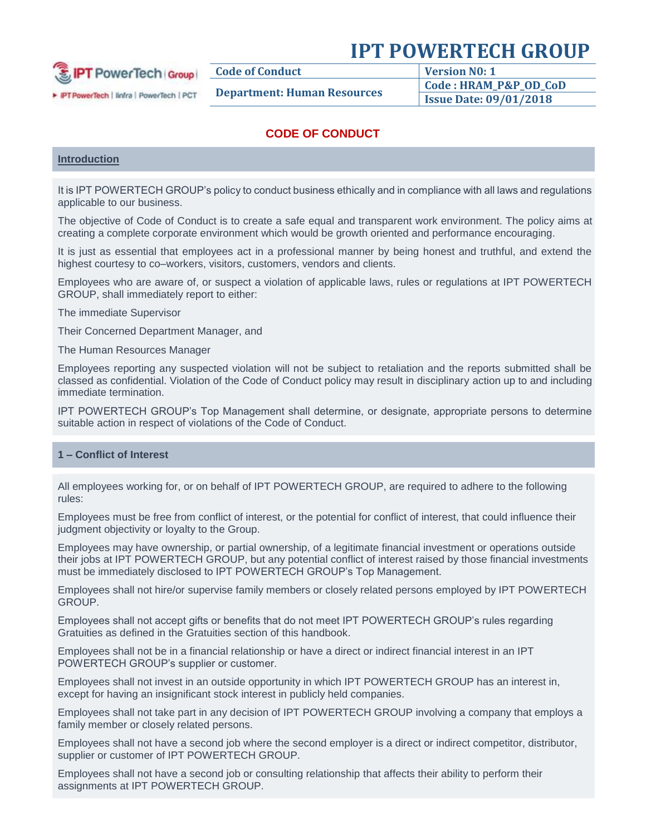

**Code of Conduct Version N0: 1**

**Department: Human Resources Code : HRAM\_P&P\_OD\_CoD Issue Date: 09/01/2018**

## **CODE OF CONDUCT**

## **Introduction**

It is IPT POWERTECH GROUP's policy to conduct business ethically and in compliance with all laws and regulations applicable to our business.

The objective of Code of Conduct is to create a safe equal and transparent work environment. The policy aims at creating a complete corporate environment which would be growth oriented and performance encouraging.

It is just as essential that employees act in a professional manner by being honest and truthful, and extend the highest courtesy to co–workers, visitors, customers, vendors and clients.

Employees who are aware of, or suspect a violation of applicable laws, rules or regulations at IPT POWERTECH GROUP, shall immediately report to either:

The immediate Supervisor

Their Concerned Department Manager, and

The Human Resources Manager

Employees reporting any suspected violation will not be subject to retaliation and the reports submitted shall be classed as confidential. Violation of the Code of Conduct policy may result in disciplinary action up to and including immediate termination.

IPT POWERTECH GROUP's Top Management shall determine, or designate, appropriate persons to determine suitable action in respect of violations of the Code of Conduct.

## **1 – Conflict of Interest**

All employees working for, or on behalf of IPT POWERTECH GROUP, are required to adhere to the following rules:

Employees must be free from conflict of interest, or the potential for conflict of interest, that could influence their judgment objectivity or loyalty to the Group.

Employees may have ownership, or partial ownership, of a legitimate financial investment or operations outside their jobs at IPT POWERTECH GROUP, but any potential conflict of interest raised by those financial investments must be immediately disclosed to IPT POWERTECH GROUP's Top Management.

Employees shall not hire/or supervise family members or closely related persons employed by IPT POWERTECH **GROUP** 

Employees shall not accept gifts or benefits that do not meet IPT POWERTECH GROUP's rules regarding Gratuities as defined in the Gratuities section of this handbook.

Employees shall not be in a financial relationship or have a direct or indirect financial interest in an IPT POWERTECH GROUP's supplier or customer.

Employees shall not invest in an outside opportunity in which IPT POWERTECH GROUP has an interest in, except for having an insignificant stock interest in publicly held companies.

Employees shall not take part in any decision of IPT POWERTECH GROUP involving a company that employs a family member or closely related persons.

Employees shall not have a second job where the second employer is a direct or indirect competitor, distributor, supplier or customer of IPT POWERTECH GROUP.

Employees shall not have a second job or consulting relationship that affects their ability to perform their assignments at IPT POWERTECH GROUP.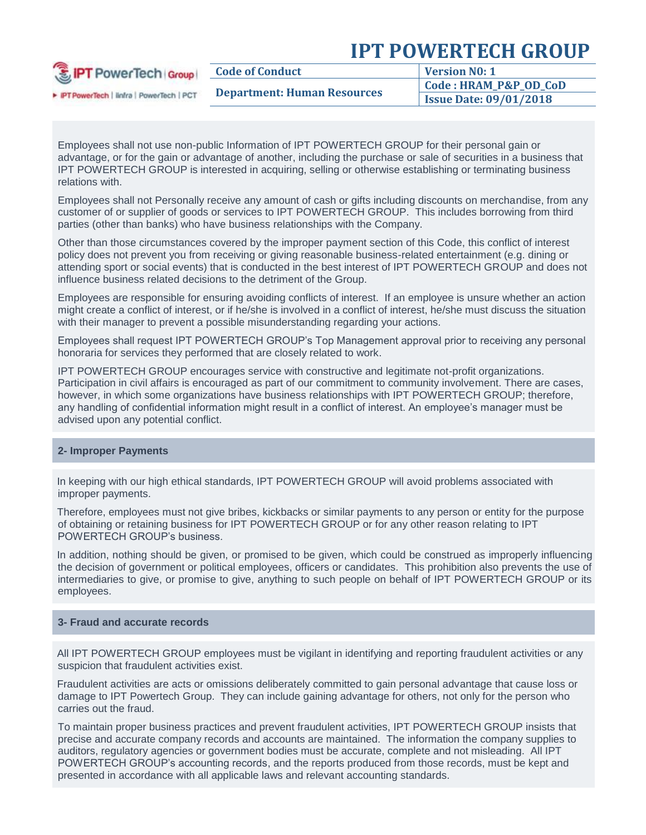| <b>E</b> IPT PowerTech Group<br>PTPowerTech   linfra   PowerTech   PCT | <b>Code of Conduct</b>             | <b>Version No: 1</b>          |
|------------------------------------------------------------------------|------------------------------------|-------------------------------|
|                                                                        | <b>Department: Human Resources</b> | Code: HRAM_P&P_OD_CoD         |
|                                                                        |                                    | <b>Issue Date: 09/01/2018</b> |

Employees shall not use non-public Information of IPT POWERTECH GROUP for their personal gain or advantage, or for the gain or advantage of another, including the purchase or sale of securities in a business that IPT POWERTECH GROUP is interested in acquiring, selling or otherwise establishing or terminating business relations with.

Employees shall not Personally receive any amount of cash or gifts including discounts on merchandise, from any customer of or supplier of goods or services to IPT POWERTECH GROUP. This includes borrowing from third parties (other than banks) who have business relationships with the Company.

Other than those circumstances covered by the improper payment section of this Code, this conflict of interest policy does not prevent you from receiving or giving reasonable business-related entertainment (e.g. dining or attending sport or social events) that is conducted in the best interest of IPT POWERTECH GROUP and does not influence business related decisions to the detriment of the Group.

Employees are responsible for ensuring avoiding conflicts of interest. If an employee is unsure whether an action might create a conflict of interest, or if he/she is involved in a conflict of interest, he/she must discuss the situation with their manager to prevent a possible misunderstanding regarding your actions.

Employees shall request IPT POWERTECH GROUP's Top Management approval prior to receiving any personal honoraria for services they performed that are closely related to work.

IPT POWERTECH GROUP encourages service with constructive and legitimate not-profit organizations. Participation in civil affairs is encouraged as part of our commitment to community involvement. There are cases, however, in which some organizations have business relationships with IPT POWERTECH GROUP; therefore, any handling of confidential information might result in a conflict of interest. An employee's manager must be advised upon any potential conflict.

#### **2- Improper Payments**

In keeping with our high ethical standards, IPT POWERTECH GROUP will avoid problems associated with improper payments.

Therefore, employees must not give bribes, kickbacks or similar payments to any person or entity for the purpose of obtaining or retaining business for IPT POWERTECH GROUP or for any other reason relating to IPT POWERTECH GROUP's business.

In addition, nothing should be given, or promised to be given, which could be construed as improperly influencing the decision of government or political employees, officers or candidates. This prohibition also prevents the use of intermediaries to give, or promise to give, anything to such people on behalf of IPT POWERTECH GROUP or its employees.

## **3- Fraud and accurate records**

All IPT POWERTECH GROUP employees must be vigilant in identifying and reporting fraudulent activities or any suspicion that fraudulent activities exist.

Fraudulent activities are acts or omissions deliberately committed to gain personal advantage that cause loss or damage to IPT Powertech Group. They can include gaining advantage for others, not only for the person who carries out the fraud.

To maintain proper business practices and prevent fraudulent activities, IPT POWERTECH GROUP insists that precise and accurate company records and accounts are maintained. The information the company supplies to auditors, regulatory agencies or government bodies must be accurate, complete and not misleading. All IPT POWERTECH GROUP's accounting records, and the reports produced from those records, must be kept and presented in accordance with all applicable laws and relevant accounting standards.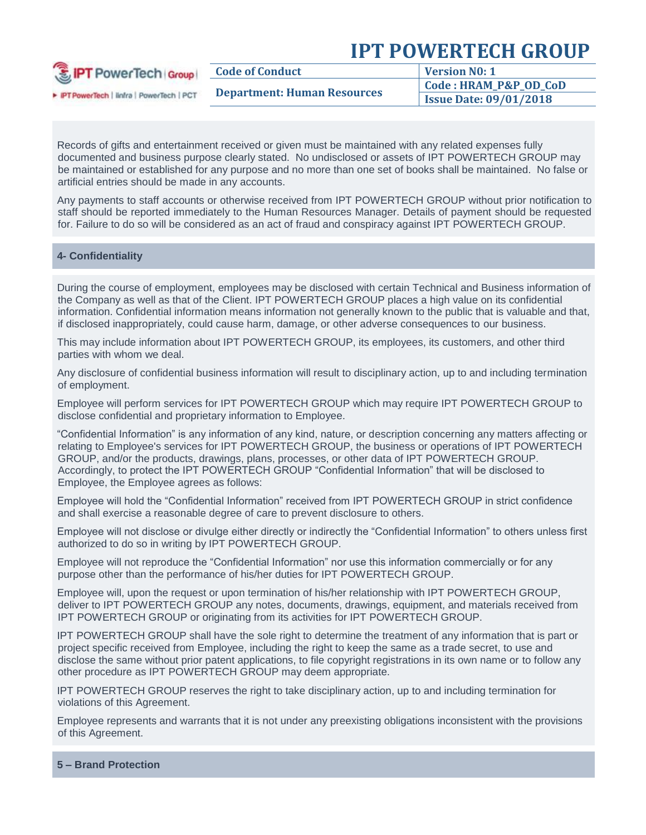| <b>E</b> IPT PowerTech Group            | <b>Code of Conduct</b>             | <b>Version No: 1</b>          |
|-----------------------------------------|------------------------------------|-------------------------------|
|                                         | <b>Department: Human Resources</b> | Code: HRAM_P&P_OD_CoD         |
| PT PowerTech   linfra   PowerTech   PCT |                                    | <b>Issue Date: 09/01/2018</b> |
|                                         |                                    |                               |

Records of gifts and entertainment received or given must be maintained with any related expenses fully documented and business purpose clearly stated. No undisclosed or assets of IPT POWERTECH GROUP may be maintained or established for any purpose and no more than one set of books shall be maintained. No false or artificial entries should be made in any accounts.

Any payments to staff accounts or otherwise received from IPT POWERTECH GROUP without prior notification to staff should be reported immediately to the Human Resources Manager. Details of payment should be requested for. Failure to do so will be considered as an act of fraud and conspiracy against IPT POWERTECH GROUP.

### **4- Confidentiality**

During the course of employment, employees may be disclosed with certain Technical and Business information of the Company as well as that of the Client. IPT POWERTECH GROUP places a high value on its confidential information. Confidential information means information not generally known to the public that is valuable and that, if disclosed inappropriately, could cause harm, damage, or other adverse consequences to our business.

This may include information about IPT POWERTECH GROUP, its employees, its customers, and other third parties with whom we deal.

Any disclosure of confidential business information will result to disciplinary action, up to and including termination of employment.

Employee will perform services for IPT POWERTECH GROUP which may require IPT POWERTECH GROUP to disclose confidential and proprietary information to Employee.

"Confidential Information" is any information of any kind, nature, or description concerning any matters affecting or relating to Employee's services for IPT POWERTECH GROUP, the business or operations of IPT POWERTECH GROUP, and/or the products, drawings, plans, processes, or other data of IPT POWERTECH GROUP. Accordingly, to protect the IPT POWERTECH GROUP "Confidential Information" that will be disclosed to Employee, the Employee agrees as follows:

Employee will hold the "Confidential Information" received from IPT POWERTECH GROUP in strict confidence and shall exercise a reasonable degree of care to prevent disclosure to others.

Employee will not disclose or divulge either directly or indirectly the "Confidential Information" to others unless first authorized to do so in writing by IPT POWERTECH GROUP.

Employee will not reproduce the "Confidential Information" nor use this information commercially or for any purpose other than the performance of his/her duties for IPT POWERTECH GROUP.

Employee will, upon the request or upon termination of his/her relationship with IPT POWERTECH GROUP, deliver to IPT POWERTECH GROUP any notes, documents, drawings, equipment, and materials received from IPT POWERTECH GROUP or originating from its activities for IPT POWERTECH GROUP.

IPT POWERTECH GROUP shall have the sole right to determine the treatment of any information that is part or project specific received from Employee, including the right to keep the same as a trade secret, to use and disclose the same without prior patent applications, to file copyright registrations in its own name or to follow any other procedure as IPT POWERTECH GROUP may deem appropriate.

IPT POWERTECH GROUP reserves the right to take disciplinary action, up to and including termination for violations of this Agreement.

Employee represents and warrants that it is not under any preexisting obligations inconsistent with the provisions of this Agreement.

**5 – Brand Protection**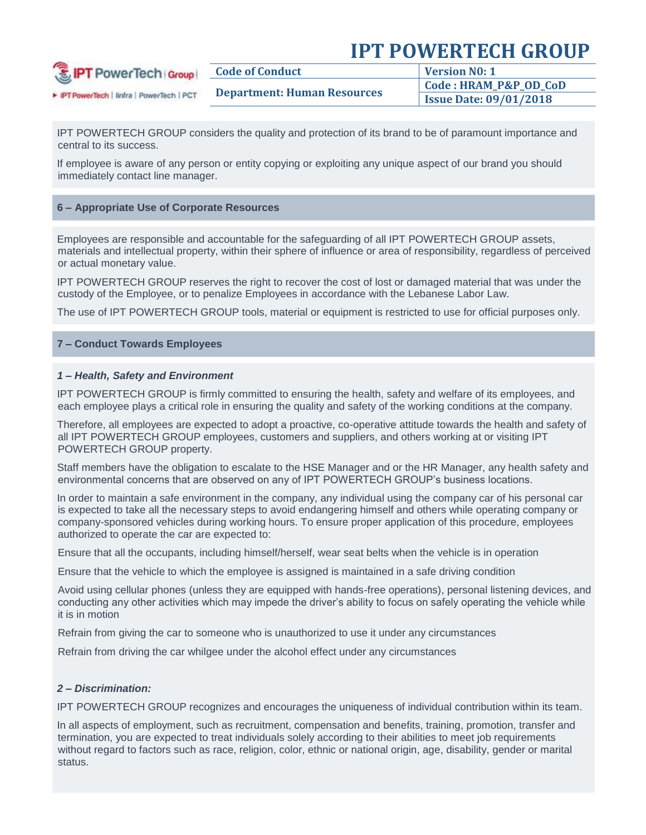| <b>B</b> IPT PowerTech Group            | <b>Code of Conduct</b>             | Version No: 1                 |
|-----------------------------------------|------------------------------------|-------------------------------|
|                                         | <b>Department: Human Resources</b> | Code : HRAM_P&P_OD_CoD        |
| PT PowerTech   linfra   PowerTech   PCT |                                    | <b>Issue Date: 09/01/2018</b> |

IPT POWERTECH GROUP considers the quality and protection of its brand to be of paramount importance and central to its success.

If employee is aware of any person or entity copying or exploiting any unique aspect of our brand you should immediately contact line manager.

### **6 – Appropriate Use of Corporate Resources**

Employees are responsible and accountable for the safeguarding of all IPT POWERTECH GROUP assets, materials and intellectual property, within their sphere of influence or area of responsibility, regardless of perceived or actual monetary value.

IPT POWERTECH GROUP reserves the right to recover the cost of lost or damaged material that was under the custody of the Employee, or to penalize Employees in accordance with the Lebanese Labor Law.

The use of IPT POWERTECH GROUP tools, material or equipment is restricted to use for official purposes only.

#### **7 – Conduct Towards Employees**

#### *1 – Health, Safety and Environment*

IPT POWERTECH GROUP is firmly committed to ensuring the health, safety and welfare of its employees, and each employee plays a critical role in ensuring the quality and safety of the working conditions at the company.

Therefore, all employees are expected to adopt a proactive, co-operative attitude towards the health and safety of all IPT POWERTECH GROUP employees, customers and suppliers, and others working at or visiting IPT POWERTECH GROUP property.

Staff members have the obligation to escalate to the HSE Manager and or the HR Manager, any health safety and environmental concerns that are observed on any of IPT POWERTECH GROUP's business locations.

In order to maintain a safe environment in the company, any individual using the company car of his personal car is expected to take all the necessary steps to avoid endangering himself and others while operating company or company-sponsored vehicles during working hours. To ensure proper application of this procedure, employees authorized to operate the car are expected to:

- Ensure that all the occupants, including himself/herself, wear seat belts when the vehicle is in operation

Ensure that the vehicle to which the employee is assigned is maintained in a safe driving condition

- Avoid using cellular phones (unless they are equipped with hands-free operations), personal listening devices, and conducting any other activities which may impede the driver's ability to focus on safely operating the vehicle while it is in motion

Refrain from giving the car to someone who is unauthorized to use it under any circumstances

Refrain from driving the car whilgee under the alcohol effect under any circumstances

#### *2 – Discrimination:*

IPT POWERTECH GROUP recognizes and encourages the uniqueness of individual contribution within its team.

In all aspects of employment, such as recruitment, compensation and benefits, training, promotion, transfer and termination, you are expected to treat individuals solely according to their abilities to meet job requirements without regard to factors such as race, religion, color, ethnic or national origin, age, disability, gender or marital status.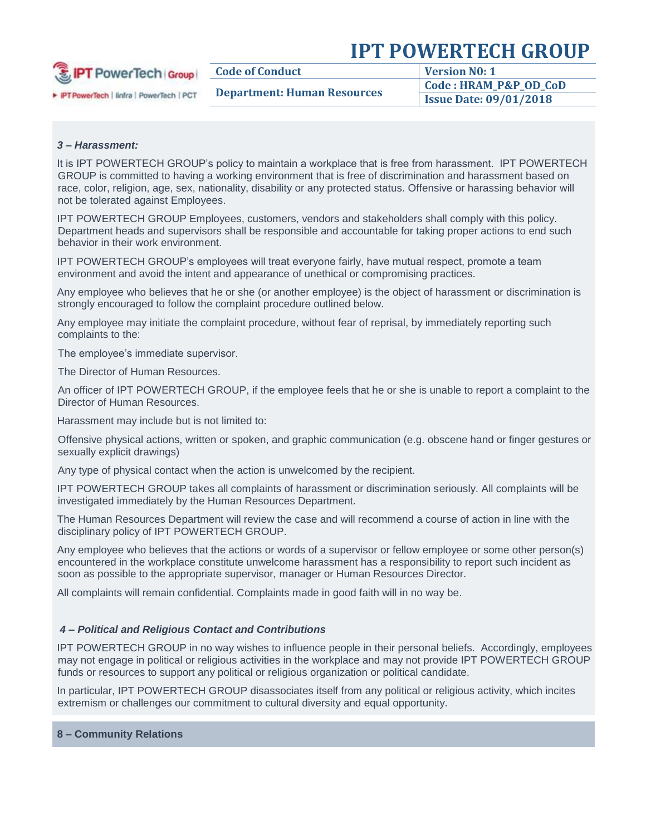| <b>E</b> IPT PowerTech Group            | <b>Code of Conduct</b>             | <b>Version N0: 1</b>          |
|-----------------------------------------|------------------------------------|-------------------------------|
| PT PowerTech   linfra   PowerTech   PCT | <b>Department: Human Resources</b> | Code: HRAM_P&P_OD_CoD         |
|                                         |                                    | <b>Issue Date: 09/01/2018</b> |

### *3 – Harassment:*

It is IPT POWERTECH GROUP's policy to maintain a workplace that is free from harassment. IPT POWERTECH GROUP is committed to having a working environment that is free of discrimination and harassment based on race, color, religion, age, sex, nationality, disability or any protected status. Offensive or harassing behavior will not be tolerated against Employees.

IPT POWERTECH GROUP Employees, customers, vendors and stakeholders shall comply with this policy. Department heads and supervisors shall be responsible and accountable for taking proper actions to end such behavior in their work environment.

IPT POWERTECH GROUP's employees will treat everyone fairly, have mutual respect, promote a team environment and avoid the intent and appearance of unethical or compromising practices.

Any employee who believes that he or she (or another employee) is the object of harassment or discrimination is strongly encouraged to follow the complaint procedure outlined below.

Any employee may initiate the complaint procedure, without fear of reprisal, by immediately reporting such complaints to the:

The employee's immediate supervisor.

The Director of Human Resources.

An officer of IPT POWERTECH GROUP, if the employee feels that he or she is unable to report a complaint to the Director of Human Resources.

Harassment may include but is not limited to:

- Offensive physical actions, written or spoken, and graphic communication (e.g. obscene hand or finger gestures or sexually explicit drawings)

Any type of physical contact when the action is unwelcomed by the recipient.

IPT POWERTECH GROUP takes all complaints of harassment or discrimination seriously. All complaints will be investigated immediately by the Human Resources Department.

The Human Resources Department will review the case and will recommend a course of action in line with the disciplinary policy of IPT POWERTECH GROUP.

Any employee who believes that the actions or words of a supervisor or fellow employee or some other person(s) encountered in the workplace constitute unwelcome harassment has a responsibility to report such incident as soon as possible to the appropriate supervisor, manager or Human Resources Director.

All complaints will remain confidential. Complaints made in good faith will in no way be.

#### *4 – Political and Religious Contact and Contributions*

IPT POWERTECH GROUP in no way wishes to influence people in their personal beliefs. Accordingly, employees may not engage in political or religious activities in the workplace and may not provide IPT POWERTECH GROUP funds or resources to support any political or religious organization or political candidate.

In particular, IPT POWERTECH GROUP disassociates itself from any political or religious activity, which incites extremism or challenges our commitment to cultural diversity and equal opportunity.

#### **8 – Community Relations**